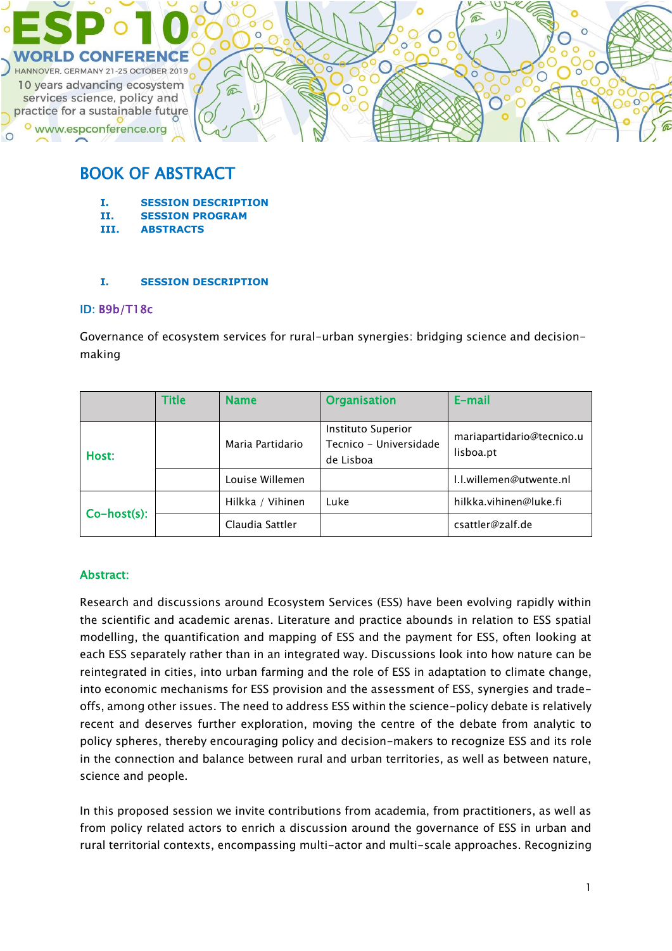

# BOOK OF ABSTRACT

- **I. SESSION DESCRIPTION**
- **II. SESSION PROGRAM**
- **III. ABSTRACTS**

### **I. SESSION DESCRIPTION**

### ID: B9b/T18c

Governance of ecosystem services for rural-urban synergies: bridging science and decisionmaking

|                | Title | <b>Name</b>      | <b>Organisation</b>                                       | E-mail                                 |
|----------------|-------|------------------|-----------------------------------------------------------|----------------------------------------|
| Host:          |       | Maria Partidario | Instituto Superior<br>Tecnico - Universidade<br>de Lisboa | mariapartidario@tecnico.u<br>lisboa.pt |
|                |       | Louise Willemen  |                                                           | I.I.willemen@utwente.nl                |
| $Co-host(s)$ : |       | Hilkka / Vihinen | Luke                                                      | hilkka.vihinen@luke.fi                 |
|                |       | Claudia Sattler  |                                                           | csattler@zalf.de                       |

### Abstract:

Research and discussions around Ecosystem Services (ESS) have been evolving rapidly within the scientific and academic arenas. Literature and practice abounds in relation to ESS spatial modelling, the quantification and mapping of ESS and the payment for ESS, often looking at each ESS separately rather than in an integrated way. Discussions look into how nature can be reintegrated in cities, into urban farming and the role of ESS in adaptation to climate change, into economic mechanisms for ESS provision and the assessment of ESS, synergies and tradeoffs, among other issues. The need to address ESS within the science-policy debate is relatively recent and deserves further exploration, moving the centre of the debate from analytic to policy spheres, thereby encouraging policy and decision-makers to recognize ESS and its role in the connection and balance between rural and urban territories, as well as between nature, science and people.

In this proposed session we invite contributions from academia, from practitioners, as well as from policy related actors to enrich a discussion around the governance of ESS in urban and rural territorial contexts, encompassing multi-actor and multi-scale approaches. Recognizing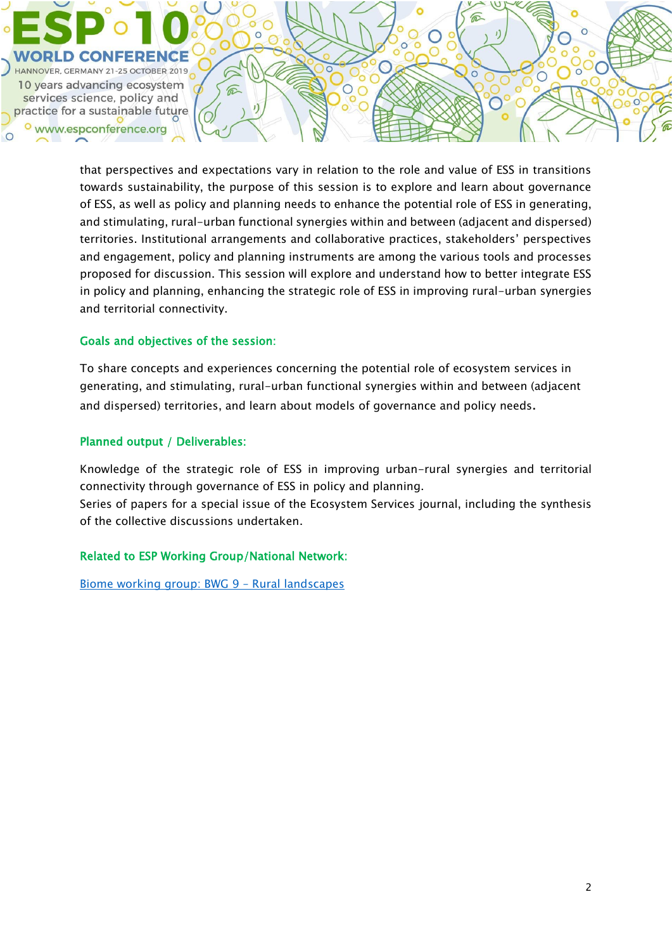

that perspectives and expectations vary in relation to the role and value of ESS in transitions towards sustainability, the purpose of this session is to explore and learn about governance of ESS, as well as policy and planning needs to enhance the potential role of ESS in generating, and stimulating, rural-urban functional synergies within and between (adjacent and dispersed) territories. Institutional arrangements and collaborative practices, stakeholders' perspectives and engagement, policy and planning instruments are among the various tools and processes proposed for discussion. This session will explore and understand how to better integrate ESS in policy and planning, enhancing the strategic role of ESS in improving rural-urban synergies and territorial connectivity.

### Goals and objectives of the session:

To share concepts and experiences concerning the potential role of ecosystem services in generating, and stimulating, rural-urban functional synergies within and between (adjacent and dispersed) territories, and learn about models of governance and policy needs.

### Planned output / Deliverables:

Knowledge of the strategic role of ESS in improving urban-rural synergies and territorial connectivity through governance of ESS in policy and planning.

Series of papers for a special issue of the Ecosystem Services journal, including the synthesis of the collective discussions undertaken.

### Related to ESP Working Group/National Network:

[Biome working group: BWG 9](https://www.es-partnership.org/community/workings-groups/biome-working-groups/bwg-9-rural-landscapes/) – Rural landscapes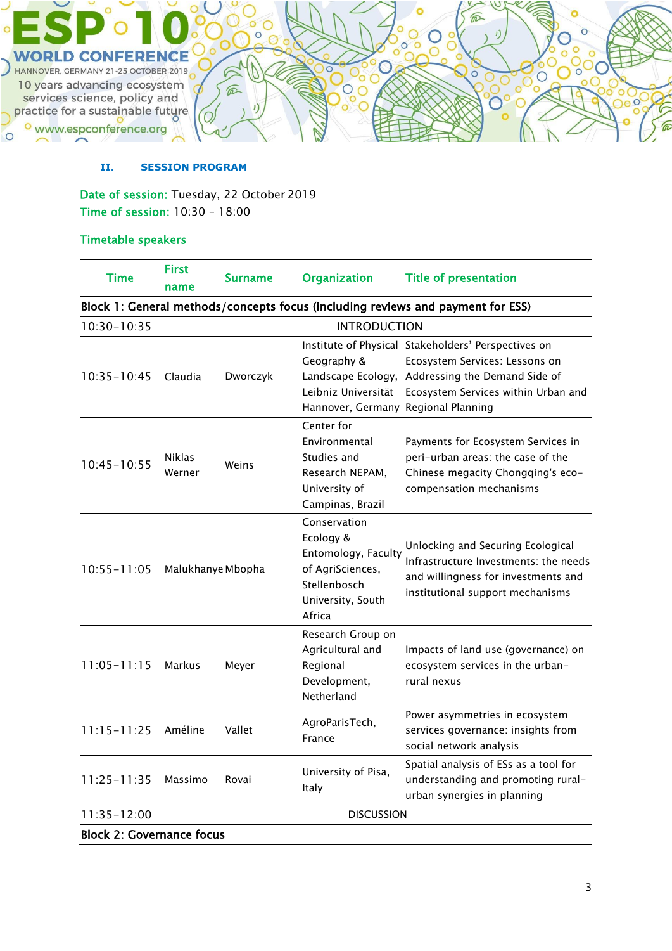

### **II. SESSION PROGRAM**

Date of session: Tuesday, 22 October 2019 Time of session: 10:30 – 18:00

### Timetable speakers

| <b>Time</b>                      | <b>First</b><br>name | <b>Surname</b> | <b>Organization</b>                 | <b>Title of presentation</b>                                                    |
|----------------------------------|----------------------|----------------|-------------------------------------|---------------------------------------------------------------------------------|
|                                  |                      |                |                                     | Block 1: General methods/concepts focus (including reviews and payment for ESS) |
| 10:30-10:35                      |                      |                | <b>INTRODUCTION</b>                 |                                                                                 |
|                                  |                      |                |                                     | Institute of Physical Stakeholders' Perspectives on                             |
|                                  |                      |                | Geography &                         | Ecosystem Services: Lessons on                                                  |
| $10:35 - 10:45$                  | Claudia              | Dworczyk       |                                     | Landscape Ecology, Addressing the Demand Side of                                |
|                                  |                      |                | Leibniz Universität                 | Ecosystem Services within Urban and                                             |
|                                  |                      |                | Hannover, Germany Regional Planning |                                                                                 |
|                                  |                      |                | Center for                          |                                                                                 |
|                                  |                      | Weins          | Environmental                       | Payments for Ecosystem Services in                                              |
| $10:45 - 10:55$                  | <b>Niklas</b>        |                | Studies and                         | peri-urban areas: the case of the                                               |
|                                  | Werner               |                | Research NEPAM.                     | Chinese megacity Chongqing's eco-                                               |
|                                  |                      |                | University of                       | compensation mechanisms                                                         |
|                                  |                      |                | Campinas, Brazil                    |                                                                                 |
|                                  |                      |                | Conservation                        |                                                                                 |
|                                  |                      |                | Ecology &                           | Unlocking and Securing Ecological                                               |
|                                  | Malukhanye Mbopha    |                | Entomology, Faculty                 | Infrastructure Investments: the needs                                           |
| $10:55 - 11:05$                  |                      |                | of AgriSciences,                    | and willingness for investments and<br>institutional support mechanisms         |
|                                  |                      |                | Stellenbosch                        |                                                                                 |
|                                  |                      |                | University, South                   |                                                                                 |
|                                  |                      |                | Africa                              |                                                                                 |
|                                  |                      |                | Research Group on                   |                                                                                 |
|                                  | <b>Markus</b>        | Meyer          | Agricultural and                    | Impacts of land use (governance) on                                             |
| $11:05 - 11:15$                  |                      |                | Regional                            | ecosystem services in the urban-                                                |
|                                  |                      |                | Development,                        | rural nexus                                                                     |
|                                  |                      |                | Netherland                          |                                                                                 |
| $11:15 - 11:25$                  | Améline              |                | AgroParisTech,                      | Power asymmetries in ecosystem                                                  |
|                                  |                      | Vallet         | France                              | services governance: insights from                                              |
|                                  |                      |                |                                     | social network analysis                                                         |
| $11:25 - 11:35$                  | Massimo              | Rovai          | University of Pisa,                 | Spatial analysis of ESs as a tool for                                           |
|                                  |                      |                | Italy                               | understanding and promoting rural-                                              |
|                                  |                      |                |                                     | urban synergies in planning                                                     |
| $11:35 - 12:00$                  |                      |                | <b>DISCUSSION</b>                   |                                                                                 |
| <b>Block 2: Governance focus</b> |                      |                |                                     |                                                                                 |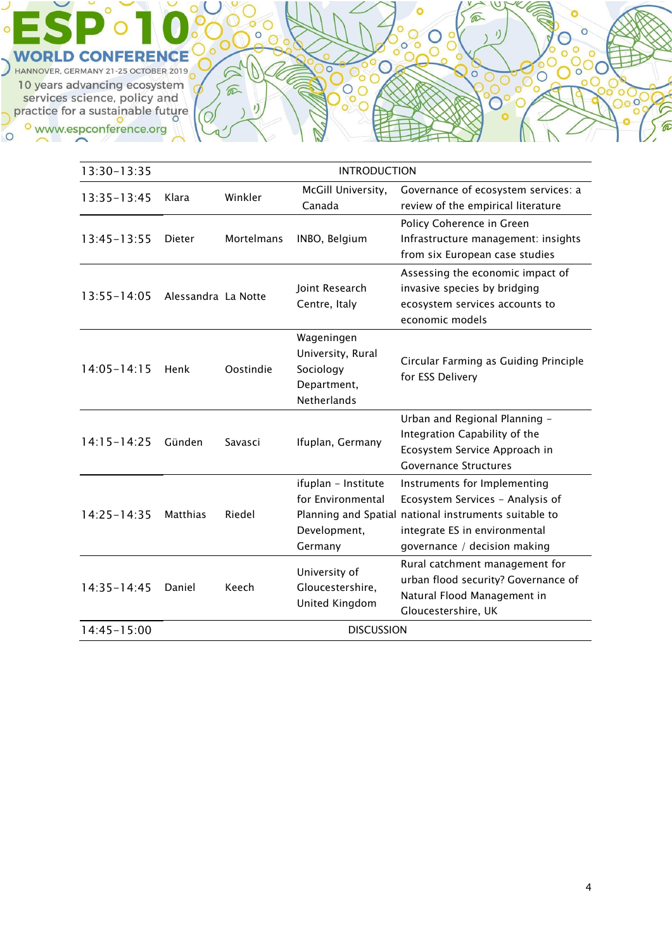WORLD CONFERENCE 10 years advancing ecosystem Fo years advancing ecosystem<br>services science, policy and<br>Displace for a sustainable future o www.espconference.org  $\circ$ 

 $\circ$ 

| 13:30-13:35     | <b>INTRODUCTION</b> |                   |                                                                                   |                                                                                                                                                                                            |
|-----------------|---------------------|-------------------|-----------------------------------------------------------------------------------|--------------------------------------------------------------------------------------------------------------------------------------------------------------------------------------------|
| $13:35 - 13:45$ | Klara               | Winkler           | McGill University,<br>Canada                                                      | Governance of ecosystem services: a<br>review of the empirical literature                                                                                                                  |
| $13:45 - 13:55$ | Dieter              | <b>Mortelmans</b> | INBO, Belgium                                                                     | Policy Coherence in Green<br>Infrastructure management: insights<br>from six European case studies                                                                                         |
| $13:55 - 14:05$ | Alessandra La Notte |                   | Joint Research<br>Centre, Italy                                                   | Assessing the economic impact of<br>invasive species by bridging<br>ecosystem services accounts to<br>economic models                                                                      |
| $14:05 - 14:15$ | Henk                | Oostindie         | Wageningen<br>University, Rural<br>Sociology<br>Department,<br><b>Netherlands</b> | Circular Farming as Guiding Principle<br>for ESS Delivery                                                                                                                                  |
| $14:15 - 14:25$ | Günden              | Savasci           | Ifuplan, Germany                                                                  | Urban and Regional Planning -<br>Integration Capability of the<br>Ecosystem Service Approach in<br><b>Governance Structures</b>                                                            |
| $14:25 - 14:35$ | <b>Matthias</b>     | Riedel            | ifuplan - Institute<br>for Environmental<br>Development,<br>Germany               | Instruments for Implementing<br>Ecosystem Services - Analysis of<br>Planning and Spatial national instruments suitable to<br>integrate ES in environmental<br>governance / decision making |
| $14:35 - 14:45$ | Daniel              | Keech             | University of<br>Gloucestershire,<br>United Kingdom                               | Rural catchment management for<br>urban flood security? Governance of<br>Natural Flood Management in<br>Gloucestershire, UK                                                                |
| 14:45-15:00     | <b>DISCUSSION</b>   |                   |                                                                                   |                                                                                                                                                                                            |

ø

6

 $\overline{O}$ 

 $\widehat{\mathbb{R}}$ 

 $\circ$ 

 $\boldsymbol{v}$ 

 $\circledcirc$ 

ö

 $\bigcirc$ 

 $\overline{O}$ 

 $\overline{\circ}$ 

 $\widehat{\varpi}$ 

 $\overline{\circ}$ 

り

 $80^\circ$ 

 $\circ$ 

3300

 $\circ$  $\frac{1000}{29}$ 

 $\circ$ 

 $\rm \ddot{\circ}$ 

**CONTROL** 

**Pool**  $\circ$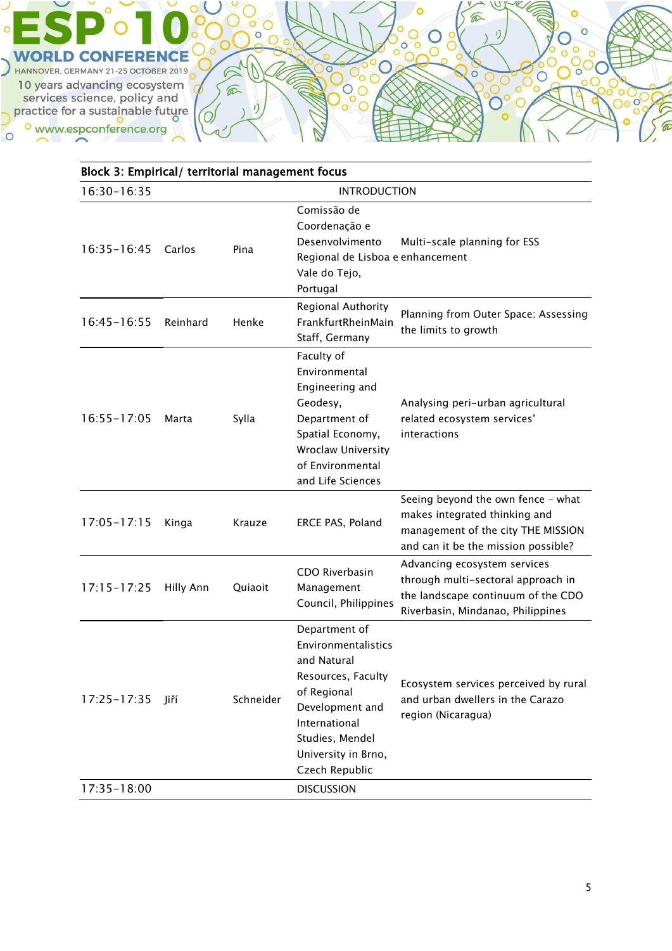![](_page_4_Picture_0.jpeg)

| Block 3: Empirical/ territorial management focus |           |           |                                                                                                                                                                                          |                                                                                                                                                  |
|--------------------------------------------------|-----------|-----------|------------------------------------------------------------------------------------------------------------------------------------------------------------------------------------------|--------------------------------------------------------------------------------------------------------------------------------------------------|
| 16:30-16:35<br><b>INTRODUCTION</b>               |           |           |                                                                                                                                                                                          |                                                                                                                                                  |
| $16:35 - 16:45$                                  | Carlos    | Pina      | Comissão de<br>Coordenação e<br>Desenvolvimento<br>Regional de Lisboa e enhancement<br>Vale do Tejo,<br>Portugal                                                                         | Multi-scale planning for ESS                                                                                                                     |
| $16:45 - 16:55$                                  | Reinhard  | Henke     | Regional Authority<br>FrankfurtRheinMain<br>Staff, Germany                                                                                                                               | Planning from Outer Space: Assessing<br>the limits to growth                                                                                     |
| $16:55 - 17:05$                                  | Marta     | Sylla     | Faculty of<br>Environmental<br>Engineering and<br>Geodesy,<br>Department of<br>Spatial Economy,<br><b>Wroclaw University</b><br>of Environmental<br>and Life Sciences                    | Analysing peri-urban agricultural<br>related ecosystem services'<br>interactions                                                                 |
| $17:05 - 17:15$                                  | Kinga     | Krauze    | ERCE PAS, Poland                                                                                                                                                                         | Seeing beyond the own fence - what<br>makes integrated thinking and<br>management of the city THE MISSION<br>and can it be the mission possible? |
| $17:15 - 17:25$                                  | Hilly Ann | Quiaoit   | CDO Riverbasin<br>Management<br>Council, Philippines                                                                                                                                     | Advancing ecosystem services<br>through multi-sectoral approach in<br>the landscape continuum of the CDO<br>Riverbasin, Mindanao, Philippines    |
| $17:25 - 17:35$                                  | liří      | Schneider | Department of<br>Environmentalistics<br>and Natural<br>Resources, Faculty<br>of Regional<br>Development and<br>International<br>Studies, Mendel<br>University in Brno,<br>Czech Republic | Ecosystem services perceived by rural<br>and urban dwellers in the Carazo<br>region (Nicaragua)                                                  |
| 17:35-18:00                                      |           |           | <b>DISCUSSION</b>                                                                                                                                                                        |                                                                                                                                                  |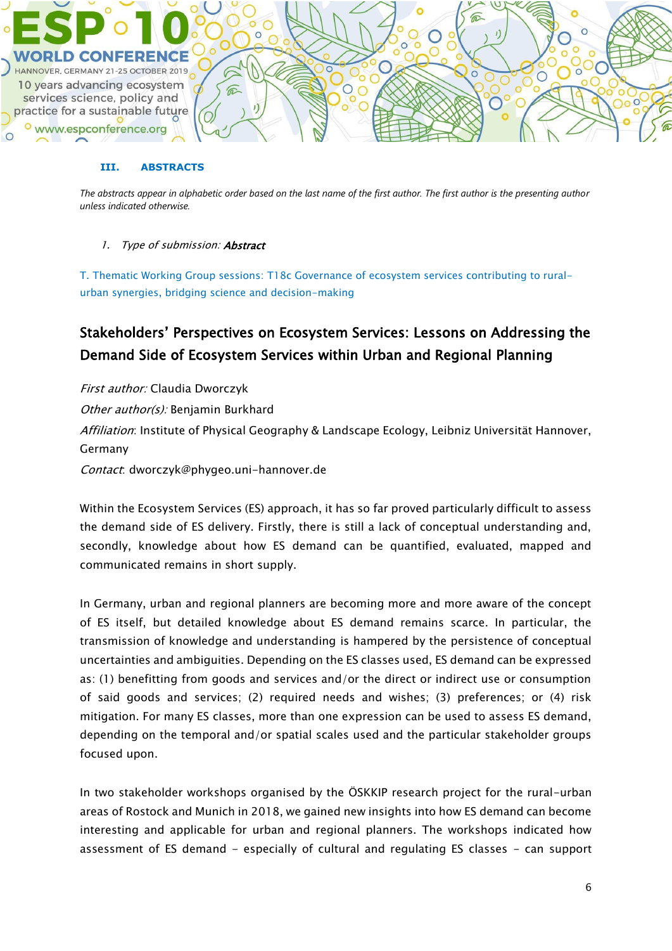![](_page_5_Picture_0.jpeg)

#### **III. ABSTRACTS**

*The abstracts appear in alphabetic order based on the last name of the first author. The first author is the presenting author unless indicated otherwise.*

### 1. Type of submission: **Abstract**

T. Thematic Working Group sessions: T18c Governance of ecosystem services contributing to ruralurban synergies, bridging science and decision-making

# Stakeholders' Perspectives on Ecosystem Services: Lessons on Addressing the Demand Side of Ecosystem Services within Urban and Regional Planning

First author: Claudia Dworczyk Other author(s): Benjamin Burkhard Affiliation: Institute of Physical Geography & Landscape Ecology, Leibniz Universität Hannover, Germany Contact: dworczyk@phygeo.uni-hannover.de

Within the Ecosystem Services (ES) approach, it has so far proved particularly difficult to assess the demand side of ES delivery. Firstly, there is still a lack of conceptual understanding and, secondly, knowledge about how ES demand can be quantified, evaluated, mapped and communicated remains in short supply.

In Germany, urban and regional planners are becoming more and more aware of the concept of ES itself, but detailed knowledge about ES demand remains scarce. In particular, the transmission of knowledge and understanding is hampered by the persistence of conceptual uncertainties and ambiguities. Depending on the ES classes used, ES demand can be expressed as: (1) benefitting from goods and services and/or the direct or indirect use or consumption of said goods and services; (2) required needs and wishes; (3) preferences; or (4) risk mitigation. For many ES classes, more than one expression can be used to assess ES demand, depending on the temporal and/or spatial scales used and the particular stakeholder groups focused upon.

In two stakeholder workshops organised by the ÖSKKIP research project for the rural-urban areas of Rostock and Munich in 2018, we gained new insights into how ES demand can become interesting and applicable for urban and regional planners. The workshops indicated how assessment of ES demand - especially of cultural and regulating ES classes - can support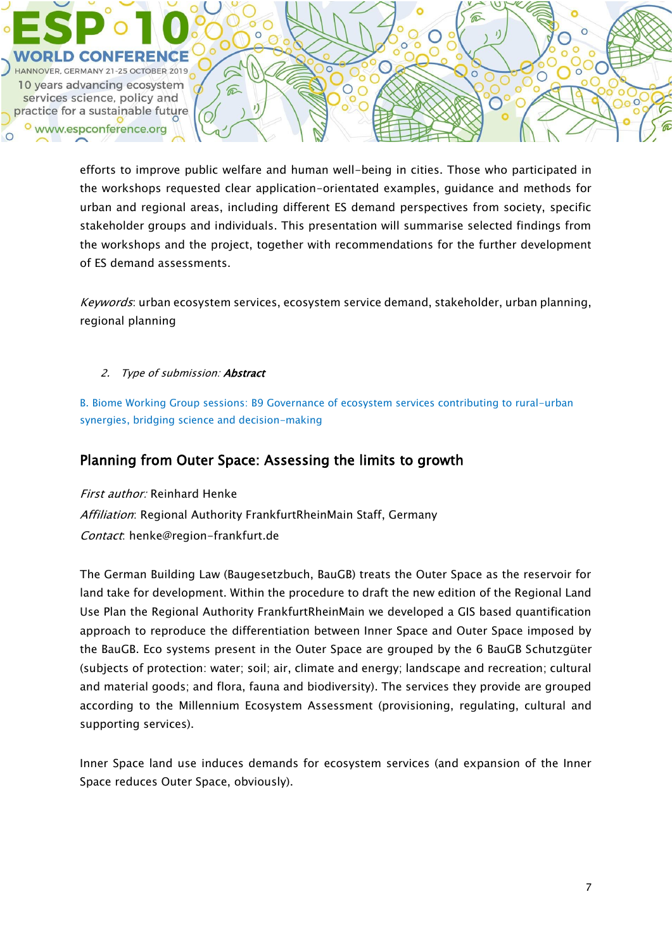$\epsilon$ HANNOVER, GERMANY 21-25 OCTOBER 2019  $\overline{O}$ 10 years advancing ecosystem  $\bigcirc$  $\widehat{\mathbb{C}}$ services science, policy and practice for a sustainable future www.espconference.org

> efforts to improve public welfare and human well-being in cities. Those who participated in the workshops requested clear application-orientated examples, guidance and methods for urban and regional areas, including different ES demand perspectives from society, specific stakeholder groups and individuals. This presentation will summarise selected findings from the workshops and the project, together with recommendations for the further development of ES demand assessments.

> Keywords: urban ecosystem services, ecosystem service demand, stakeholder, urban planning, regional planning

2. Type of submission: **Abstract** 

B. Biome Working Group sessions: B9 Governance of ecosystem services contributing to rural-urban synergies, bridging science and decision-making

## Planning from Outer Space: Assessing the limits to growth

First author: Reinhard Henke Affiliation: Regional Authority FrankfurtRheinMain Staff, Germany Contact: henke@region-frankfurt.de

The German Building Law (Baugesetzbuch, BauGB) treats the Outer Space as the reservoir for land take for development. Within the procedure to draft the new edition of the Regional Land Use Plan the Regional Authority FrankfurtRheinMain we developed a GIS based quantification approach to reproduce the differentiation between Inner Space and Outer Space imposed by the BauGB. Eco systems present in the Outer Space are grouped by the 6 BauGB Schutzgüter (subjects of protection: water; soil; air, climate and energy; landscape and recreation; cultural and material goods; and flora, fauna and biodiversity). The services they provide are grouped according to the Millennium Ecosystem Assessment (provisioning, regulating, cultural and supporting services).

Inner Space land use induces demands for ecosystem services (and expansion of the Inner Space reduces Outer Space, obviously).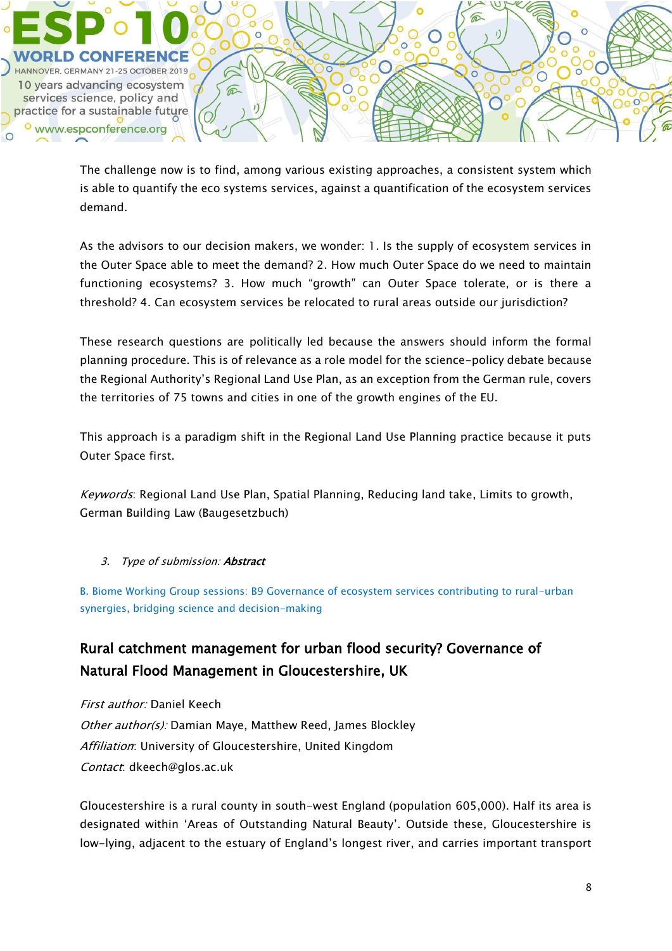![](_page_7_Picture_0.jpeg)

The challenge now is to find, among various existing approaches, a consistent system which is able to quantify the eco systems services, against a quantification of the ecosystem services demand.

As the advisors to our decision makers, we wonder: 1. Is the supply of ecosystem services in the Outer Space able to meet the demand? 2. How much Outer Space do we need to maintain functioning ecosystems? 3. How much "growth" can Outer Space tolerate, or is there a threshold? 4. Can ecosystem services be relocated to rural areas outside our jurisdiction?

These research questions are politically led because the answers should inform the formal planning procedure. This is of relevance as a role model for the science-policy debate because the Regional Authority's Regional Land Use Plan, as an exception from the German rule, covers the territories of 75 towns and cities in one of the growth engines of the EU.

This approach is a paradigm shift in the Regional Land Use Planning practice because it puts Outer Space first.

Keywords: Regional Land Use Plan, Spatial Planning, Reducing land take, Limits to growth, German Building Law (Baugesetzbuch)

3. Type of submission: Abstract

B. Biome Working Group sessions: B9 Governance of ecosystem services contributing to rural-urban synergies, bridging science and decision-making

# Rural catchment management for urban flood security? Governance of Natural Flood Management in Gloucestershire, UK

First author: Daniel Keech Other author(s): Damian Maye, Matthew Reed, James Blockley Affiliation: University of Gloucestershire, United Kingdom Contact: dkeech@glos.ac.uk

Gloucestershire is a rural county in south-west England (population 605,000). Half its area is designated within 'Areas of Outstanding Natural Beauty'. Outside these, Gloucestershire is low-lying, adjacent to the estuary of England's longest river, and carries important transport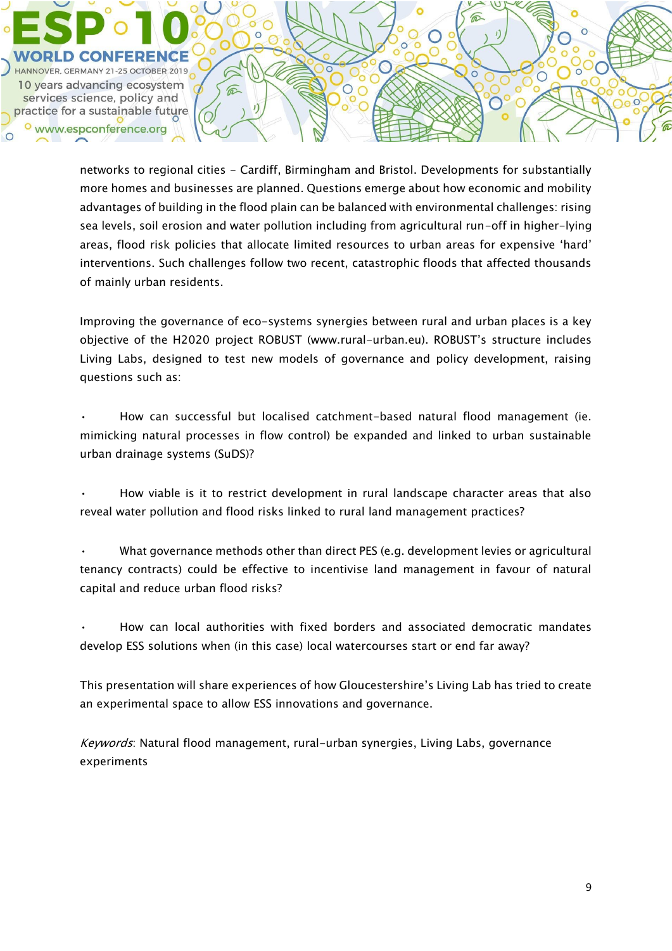HANNOVER, GERMANY 21-25 OCTOBER 2019 10 years advancing ecosystem services science, policy and practice for a sustainable future www.espconference.org

 $\widehat{\mathbb{C}}$ 

networks to regional cities - Cardiff, Birmingham and Bristol. Developments for substantially more homes and businesses are planned. Questions emerge about how economic and mobility advantages of building in the flood plain can be balanced with environmental challenges: rising sea levels, soil erosion and water pollution including from agricultural run-off in higher-lying areas, flood risk policies that allocate limited resources to urban areas for expensive 'hard' interventions. Such challenges follow two recent, catastrophic floods that affected thousands of mainly urban residents.

Improving the governance of eco-systems synergies between rural and urban places is a key objective of the H2020 project ROBUST (www.rural-urban.eu). ROBUST's structure includes Living Labs, designed to test new models of governance and policy development, raising questions such as:

• How can successful but localised catchment-based natural flood management (ie. mimicking natural processes in flow control) be expanded and linked to urban sustainable urban drainage systems (SuDS)?

• How viable is it to restrict development in rural landscape character areas that also reveal water pollution and flood risks linked to rural land management practices?

• What governance methods other than direct PES (e.g. development levies or agricultural tenancy contracts) could be effective to incentivise land management in favour of natural capital and reduce urban flood risks?

• How can local authorities with fixed borders and associated democratic mandates develop ESS solutions when (in this case) local watercourses start or end far away?

This presentation will share experiences of how Gloucestershire's Living Lab has tried to create an experimental space to allow ESS innovations and governance.

Keywords: Natural flood management, rural-urban synergies, Living Labs, governance experiments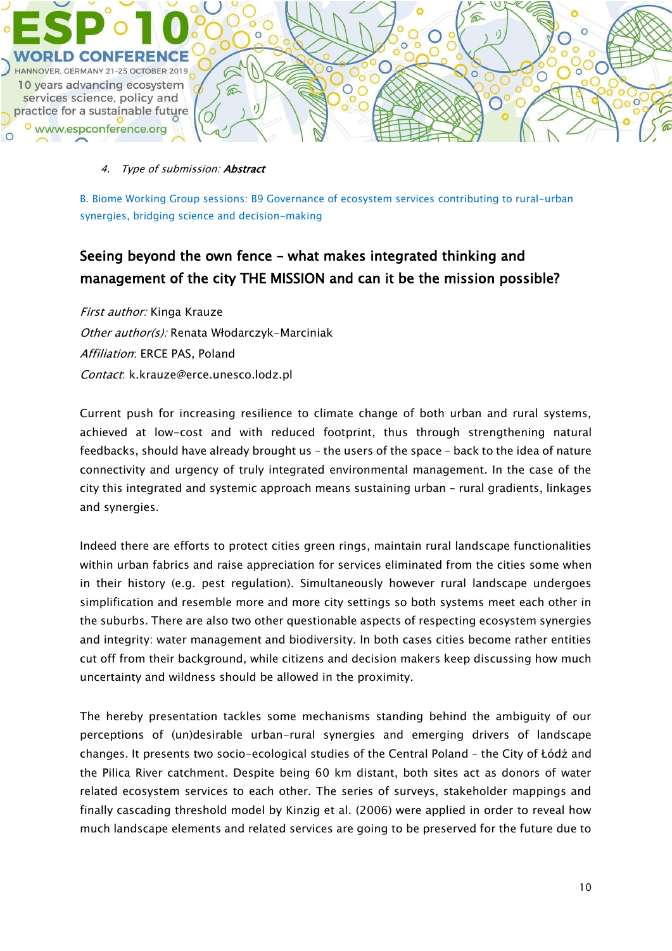![](_page_9_Picture_0.jpeg)

#### 4. Type of submission: Abstract

B. Biome Working Group sessions: B9 Governance of ecosystem services contributing to rural-urban synergies, bridging science and decision-making

# Seeing beyond the own fence – what makes integrated thinking and management of the city THE MISSION and can it be the mission possible?

First author: Kinga Krauze Other author(s): Renata Włodarczyk-Marciniak Affiliation: ERCE PAS, Poland Contact: k.krauze@erce.unesco.lodz.pl

Current push for increasing resilience to climate change of both urban and rural systems, achieved at low-cost and with reduced footprint, thus through strengthening natural feedbacks, should have already brought us – the users of the space – back to the idea of nature connectivity and urgency of truly integrated environmental management. In the case of the city this integrated and systemic approach means sustaining urban – rural gradients, linkages and synergies.

Indeed there are efforts to protect cities green rings, maintain rural landscape functionalities within urban fabrics and raise appreciation for services eliminated from the cities some when in their history (e.g. pest regulation). Simultaneously however rural landscape undergoes simplification and resemble more and more city settings so both systems meet each other in the suburbs. There are also two other questionable aspects of respecting ecosystem synergies and integrity: water management and biodiversity. In both cases cities become rather entities cut off from their background, while citizens and decision makers keep discussing how much uncertainty and wildness should be allowed in the proximity.

The hereby presentation tackles some mechanisms standing behind the ambiguity of our perceptions of (un)desirable urban-rural synergies and emerging drivers of landscape changes. It presents two socio-ecological studies of the Central Poland – the City of Łódź and the Pilica River catchment. Despite being 60 km distant, both sites act as donors of water related ecosystem services to each other. The series of surveys, stakeholder mappings and finally cascading threshold model by Kinzig et al. (2006) were applied in order to reveal how much landscape elements and related services are going to be preserved for the future due to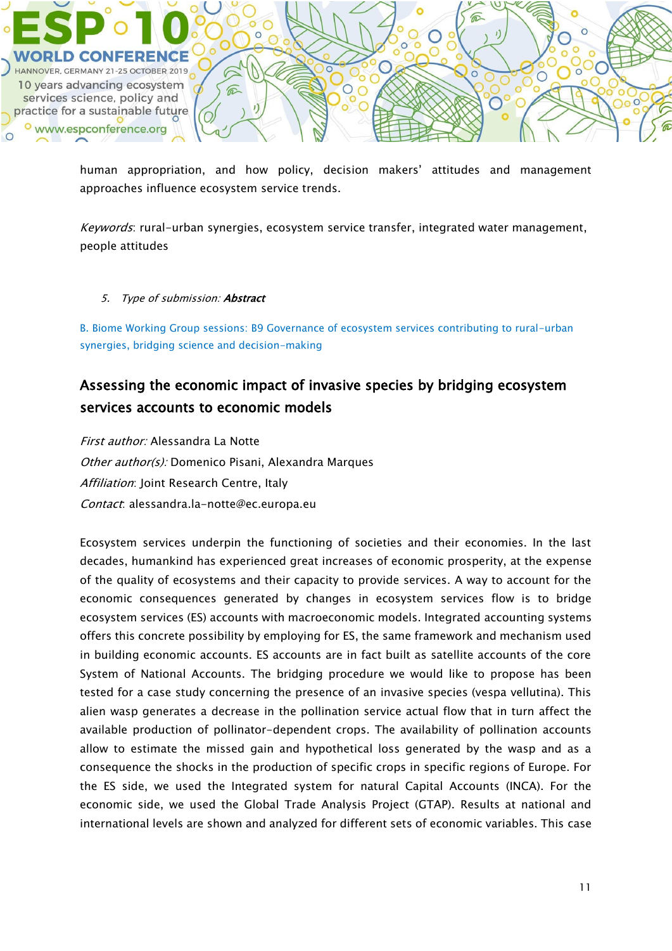![](_page_10_Picture_0.jpeg)

human appropriation, and how policy, decision makers' attitudes and management approaches influence ecosystem service trends.

Keywords: rural-urban synergies, ecosystem service transfer, integrated water management, people attitudes

#### 5. Type of submission: **Abstract**

B. Biome Working Group sessions: B9 Governance of ecosystem services contributing to rural-urban synergies, bridging science and decision-making

# Assessing the economic impact of invasive species by bridging ecosystem services accounts to economic models

First author: Alessandra La Notte Other author(s): Domenico Pisani, Alexandra Marques Affiliation: Joint Research Centre, Italy Contact: alessandra.la-notte@ec.europa.eu

Ecosystem services underpin the functioning of societies and their economies. In the last decades, humankind has experienced great increases of economic prosperity, at the expense of the quality of ecosystems and their capacity to provide services. A way to account for the economic consequences generated by changes in ecosystem services flow is to bridge ecosystem services (ES) accounts with macroeconomic models. Integrated accounting systems offers this concrete possibility by employing for ES, the same framework and mechanism used in building economic accounts. ES accounts are in fact built as satellite accounts of the core System of National Accounts. The bridging procedure we would like to propose has been tested for a case study concerning the presence of an invasive species (vespa vellutina). This alien wasp generates a decrease in the pollination service actual flow that in turn affect the available production of pollinator-dependent crops. The availability of pollination accounts allow to estimate the missed gain and hypothetical loss generated by the wasp and as a consequence the shocks in the production of specific crops in specific regions of Europe. For the ES side, we used the Integrated system for natural Capital Accounts (INCA). For the economic side, we used the Global Trade Analysis Project (GTAP). Results at national and international levels are shown and analyzed for different sets of economic variables. This case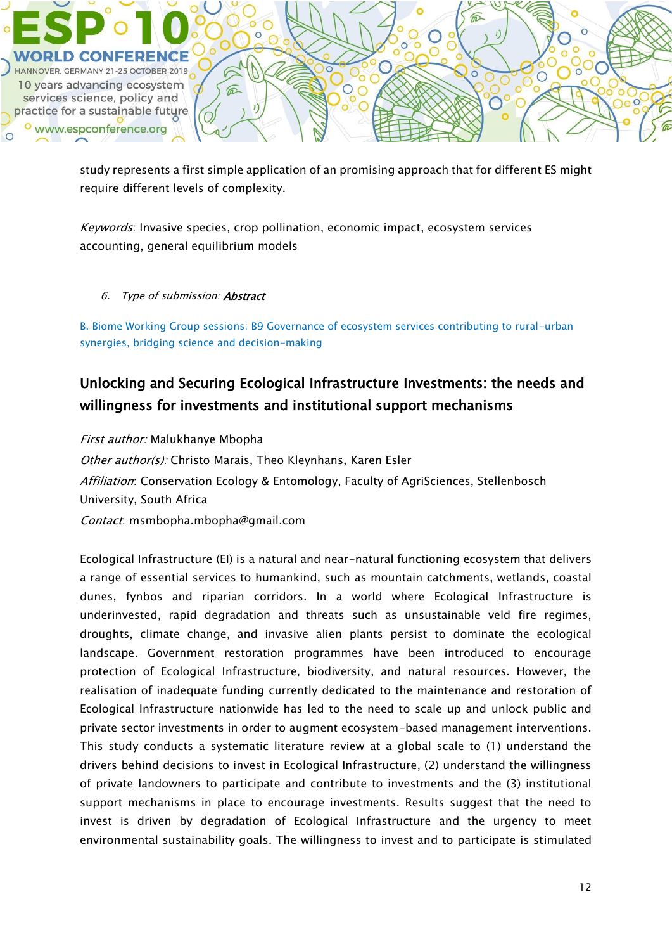![](_page_11_Picture_0.jpeg)

study represents a first simple application of an promising approach that for different ES might require different levels of complexity.

Keywords: Invasive species, crop pollination, economic impact, ecosystem services accounting, general equilibrium models

#### 6. Type of submission: Abstract

B. Biome Working Group sessions: B9 Governance of ecosystem services contributing to rural-urban synergies, bridging science and decision-making

# Unlocking and Securing Ecological Infrastructure Investments: the needs and willingness for investments and institutional support mechanisms

First author: Malukhanye Mbopha Other author(s): Christo Marais, Theo Kleynhans, Karen Esler Affiliation: Conservation Ecology & Entomology, Faculty of AgriSciences, Stellenbosch University, South Africa Contact: msmbopha.mbopha@gmail.com

Ecological Infrastructure (EI) is a natural and near-natural functioning ecosystem that delivers a range of essential services to humankind, such as mountain catchments, wetlands, coastal dunes, fynbos and riparian corridors. In a world where Ecological Infrastructure is underinvested, rapid degradation and threats such as unsustainable veld fire regimes, droughts, climate change, and invasive alien plants persist to dominate the ecological landscape. Government restoration programmes have been introduced to encourage protection of Ecological Infrastructure, biodiversity, and natural resources. However, the realisation of inadequate funding currently dedicated to the maintenance and restoration of Ecological Infrastructure nationwide has led to the need to scale up and unlock public and private sector investments in order to augment ecosystem-based management interventions. This study conducts a systematic literature review at a global scale to (1) understand the drivers behind decisions to invest in Ecological Infrastructure, (2) understand the willingness of private landowners to participate and contribute to investments and the (3) institutional support mechanisms in place to encourage investments. Results suggest that the need to invest is driven by degradation of Ecological Infrastructure and the urgency to meet environmental sustainability goals. The willingness to invest and to participate is stimulated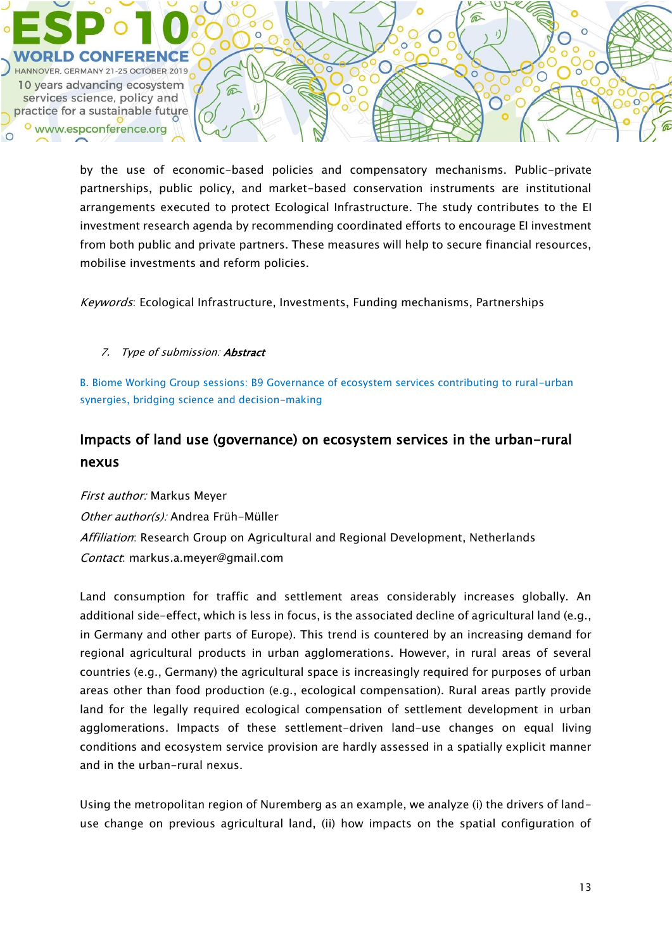by the use of economic-based policies and compensatory mechanisms. Public-private partnerships, public policy, and market-based conservation instruments are institutional arrangements executed to protect Ecological Infrastructure. The study contributes to the EI investment research agenda by recommending coordinated efforts to encourage EI investment from both public and private partners. These measures will help to secure financial resources, mobilise investments and reform policies.

 $\widehat{\mathbb{C}}$ 

 $\epsilon$ 

 $\bigcirc$ 

 $\overline{O}$ 

Keywords: Ecological Infrastructure, Investments, Funding mechanisms, Partnerships

#### 7. Type of submission: **Abstract**

HANNOVER, GERMANY 21-25 OCTOBER 2019

10 years advancing ecosystem

services science, policy and practice for a sustainable future www.espconference.org

> B. Biome Working Group sessions: B9 Governance of ecosystem services contributing to rural-urban synergies, bridging science and decision-making

# Impacts of land use (governance) on ecosystem services in the urban-rural nexus

First author: Markus Meyer Other author(s): Andrea Früh-Müller Affiliation: Research Group on Agricultural and Regional Development, Netherlands Contact: markus.a.meyer@gmail.com

Land consumption for traffic and settlement areas considerably increases globally. An additional side-effect, which is less in focus, is the associated decline of agricultural land (e.g., in Germany and other parts of Europe). This trend is countered by an increasing demand for regional agricultural products in urban agglomerations. However, in rural areas of several countries (e.g., Germany) the agricultural space is increasingly required for purposes of urban areas other than food production (e.g., ecological compensation). Rural areas partly provide land for the legally required ecological compensation of settlement development in urban agglomerations. Impacts of these settlement-driven land-use changes on equal living conditions and ecosystem service provision are hardly assessed in a spatially explicit manner and in the urban-rural nexus.

Using the metropolitan region of Nuremberg as an example, we analyze (i) the drivers of landuse change on previous agricultural land, (ii) how impacts on the spatial configuration of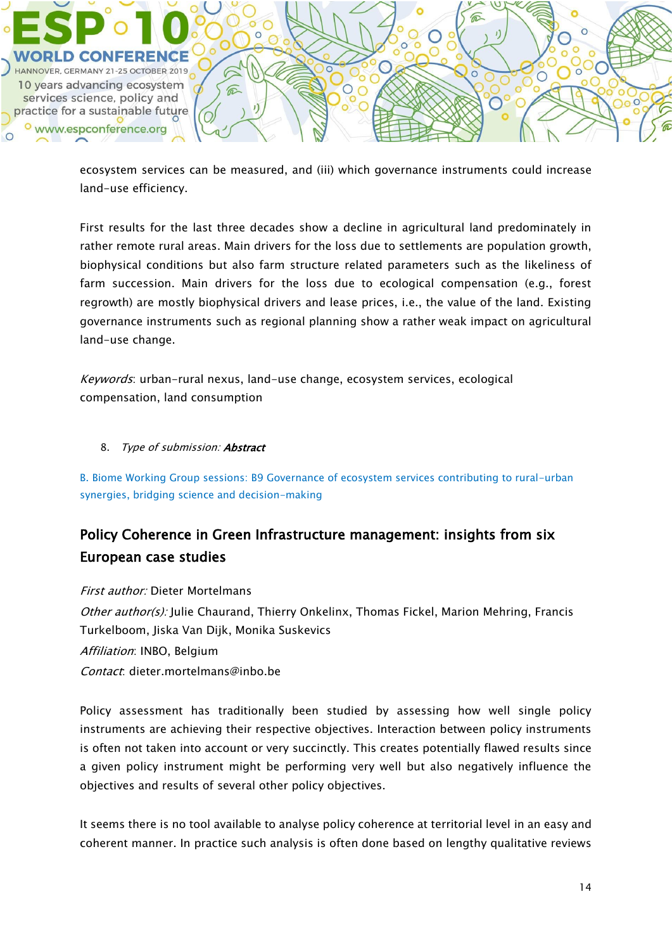![](_page_13_Picture_0.jpeg)

ecosystem services can be measured, and (iii) which governance instruments could increase land-use efficiency.

First results for the last three decades show a decline in agricultural land predominately in rather remote rural areas. Main drivers for the loss due to settlements are population growth, biophysical conditions but also farm structure related parameters such as the likeliness of farm succession. Main drivers for the loss due to ecological compensation (e.g., forest regrowth) are mostly biophysical drivers and lease prices, i.e., the value of the land. Existing governance instruments such as regional planning show a rather weak impact on agricultural land-use change.

Keywords: urban-rural nexus, land-use change, ecosystem services, ecological compensation, land consumption

### 8. Type of submission: **Abstract**

B. Biome Working Group sessions: B9 Governance of ecosystem services contributing to rural-urban synergies, bridging science and decision-making

# Policy Coherence in Green Infrastructure management: insights from six European case studies

### First author: Dieter Mortelmans

Other author(s): Julie Chaurand, Thierry Onkelinx, Thomas Fickel, Marion Mehring, Francis Turkelboom, Jiska Van Dijk, Monika Suskevics

Affiliation: INBO, Belgium

Contact: dieter.mortelmans@inbo.be

Policy assessment has traditionally been studied by assessing how well single policy instruments are achieving their respective objectives. Interaction between policy instruments is often not taken into account or very succinctly. This creates potentially flawed results since a given policy instrument might be performing very well but also negatively influence the objectives and results of several other policy objectives.

It seems there is no tool available to analyse policy coherence at territorial level in an easy and coherent manner. In practice such analysis is often done based on lengthy qualitative reviews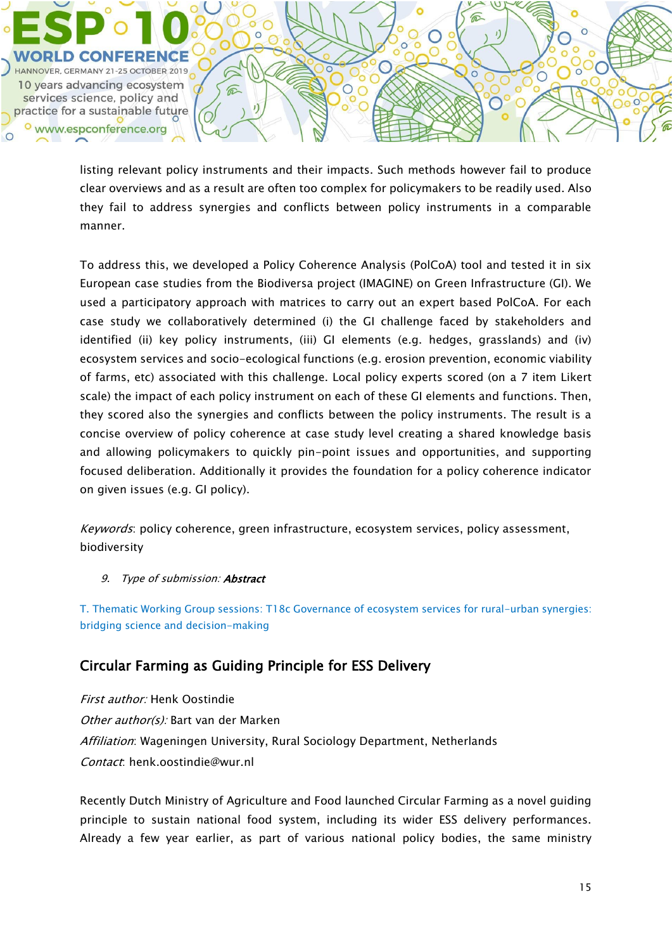HANNOVER, GERMANY 21-25 OCTOBER 2019 10 years advancing ecosystem services science, policy and practice for a sustainable future o www.espconference.org

> listing relevant policy instruments and their impacts. Such methods however fail to produce clear overviews and as a result are often too complex for policymakers to be readily used. Also they fail to address synergies and conflicts between policy instruments in a comparable manner.

 $\circ$ 

 $\widehat{\mathbb{C}}$ 

 $\epsilon$ 

To address this, we developed a Policy Coherence Analysis (PolCoA) tool and tested it in six European case studies from the Biodiversa project (IMAGINE) on Green Infrastructure (GI). We used a participatory approach with matrices to carry out an expert based PolCoA. For each case study we collaboratively determined (i) the GI challenge faced by stakeholders and identified (ii) key policy instruments, (iii) GI elements (e.g. hedges, grasslands) and (iv) ecosystem services and socio-ecological functions (e.g. erosion prevention, economic viability of farms, etc) associated with this challenge. Local policy experts scored (on a 7 item Likert scale) the impact of each policy instrument on each of these GI elements and functions. Then, they scored also the synergies and conflicts between the policy instruments. The result is a concise overview of policy coherence at case study level creating a shared knowledge basis and allowing policymakers to quickly pin-point issues and opportunities, and supporting focused deliberation. Additionally it provides the foundation for a policy coherence indicator on given issues (e.g. GI policy).

Keywords: policy coherence, green infrastructure, ecosystem services, policy assessment, biodiversity

### 9. Type of submission: **Abstract**

T. Thematic Working Group sessions: T18c Governance of ecosystem services for rural-urban synergies: bridging science and decision-making

## Circular Farming as Guiding Principle for ESS Delivery

First author: Henk Oostindie Other author(s): Bart van der Marken Affiliation: Wageningen University, Rural Sociology Department, Netherlands Contact: henk.oostindie@wur.nl

Recently Dutch Ministry of Agriculture and Food launched Circular Farming as a novel guiding principle to sustain national food system, including its wider ESS delivery performances. Already a few year earlier, as part of various national policy bodies, the same ministry

ŏ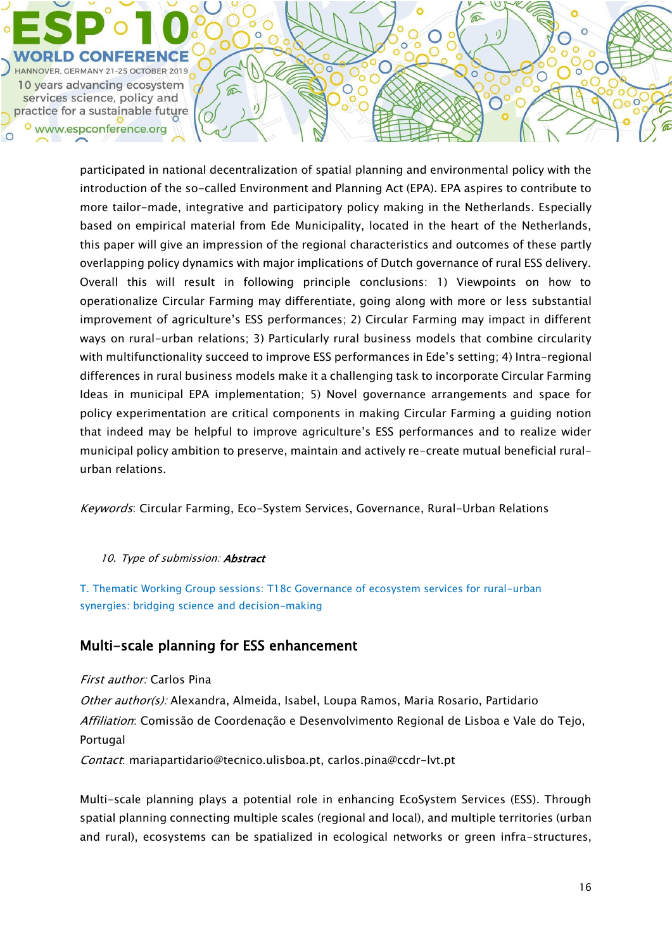![](_page_15_Picture_0.jpeg)

participated in national decentralization of spatial planning and environmental policy with the introduction of the so-called Environment and Planning Act (EPA). EPA aspires to contribute to more tailor-made, integrative and participatory policy making in the Netherlands. Especially based on empirical material from Ede Municipality, located in the heart of the Netherlands, this paper will give an impression of the regional characteristics and outcomes of these partly overlapping policy dynamics with major implications of Dutch governance of rural ESS delivery. Overall this will result in following principle conclusions: 1) Viewpoints on how to operationalize Circular Farming may differentiate, going along with more or less substantial improvement of agriculture's ESS performances; 2) Circular Farming may impact in different ways on rural-urban relations; 3) Particularly rural business models that combine circularity with multifunctionality succeed to improve ESS performances in Ede's setting; 4) Intra-regional differences in rural business models make it a challenging task to incorporate Circular Farming Ideas in municipal EPA implementation; 5) Novel governance arrangements and space for policy experimentation are critical components in making Circular Farming a guiding notion that indeed may be helpful to improve agriculture's ESS performances and to realize wider municipal policy ambition to preserve, maintain and actively re-create mutual beneficial ruralurban relations.

 $\epsilon$ 

 $\circ$ 

Keywords: Circular Farming, Eco-System Services, Governance, Rural-Urban Relations

#### 10. Type of submission: Abstract

T. Thematic Working Group sessions: T18c Governance of ecosystem services for rural-urban synergies: bridging science and decision-making

## Multi-scale planning for ESS enhancement

 $\widehat{\mathbb{C}}$ 

First author: Carlos Pina

Other author(s): Alexandra, Almeida, Isabel, Loupa Ramos, Maria Rosario, Partidario Affiliation: Comissão de Coordenação e Desenvolvimento Regional de Lisboa e Vale do Tejo, Portugal

Contact: mariapartidario@tecnico.ulisboa.pt, carlos.pina@ccdr-lvt.pt

Multi-scale planning plays a potential role in enhancing EcoSystem Services (ESS). Through spatial planning connecting multiple scales (regional and local), and multiple territories (urban and rural), ecosystems can be spatialized in ecological networks or green infra-structures,

ŏ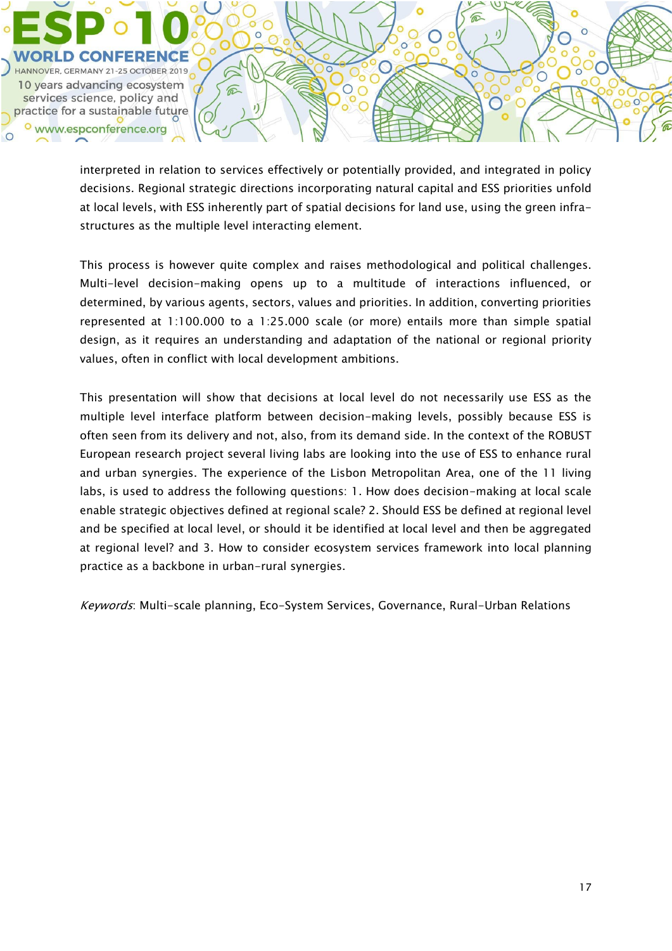HANNOVER, GERMANY 21-25 OCTOBER 2019 10 years advancing ecosystem  $\widehat{\mathbb{R}}$ services science, policy and  $\mathbf{I}$ practice for a sustainable future o www.espconference.org  $\bigcap$ 

> interpreted in relation to services effectively or potentially provided, and integrated in policy decisions. Regional strategic directions incorporating natural capital and ESS priorities unfold at local levels, with ESS inherently part of spatial decisions for land use, using the green infrastructures as the multiple level interacting element.

 $\circ$ 

 $\epsilon$ 

⋒

ŏ

 $\overline{O}$ 

This process is however quite complex and raises methodological and political challenges. Multi-level decision-making opens up to a multitude of interactions influenced, or determined, by various agents, sectors, values and priorities. In addition, converting priorities represented at 1:100.000 to a 1:25.000 scale (or more) entails more than simple spatial design, as it requires an understanding and adaptation of the national or regional priority values, often in conflict with local development ambitions.

This presentation will show that decisions at local level do not necessarily use ESS as the multiple level interface platform between decision-making levels, possibly because ESS is often seen from its delivery and not, also, from its demand side. In the context of the ROBUST European research project several living labs are looking into the use of ESS to enhance rural and urban synergies. The experience of the Lisbon Metropolitan Area, one of the 11 living labs, is used to address the following questions: 1. How does decision-making at local scale enable strategic objectives defined at regional scale? 2. Should ESS be defined at regional level and be specified at local level, or should it be identified at local level and then be aggregated at regional level? and 3. How to consider ecosystem services framework into local planning practice as a backbone in urban-rural synergies.

Keywords: Multi-scale planning, Eco-System Services, Governance, Rural-Urban Relations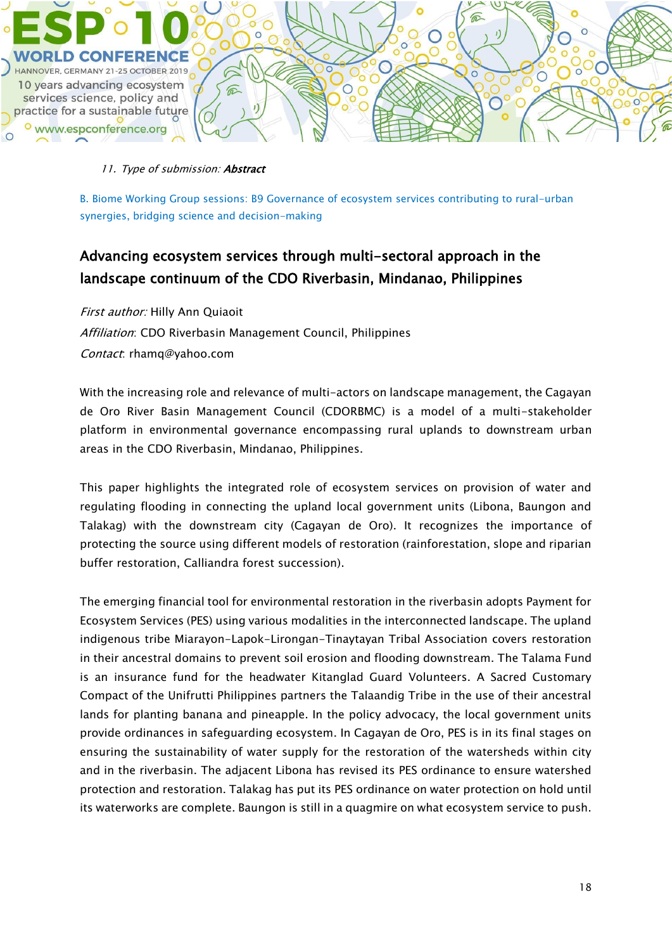![](_page_17_Picture_0.jpeg)

#### 11. Type of submission: Abstract

B. Biome Working Group sessions: B9 Governance of ecosystem services contributing to rural-urban synergies, bridging science and decision-making

# Advancing ecosystem services through multi-sectoral approach in the landscape continuum of the CDO Riverbasin, Mindanao, Philippines

First author: Hilly Ann Quiaoit Affiliation: CDO Riverbasin Management Council, Philippines Contact: rhamq@yahoo.com

With the increasing role and relevance of multi-actors on landscape management, the Cagayan de Oro River Basin Management Council (CDORBMC) is a model of a multi-stakeholder platform in environmental governance encompassing rural uplands to downstream urban areas in the CDO Riverbasin, Mindanao, Philippines.

This paper highlights the integrated role of ecosystem services on provision of water and regulating flooding in connecting the upland local government units (Libona, Baungon and Talakag) with the downstream city (Cagayan de Oro). It recognizes the importance of protecting the source using different models of restoration (rainforestation, slope and riparian buffer restoration, Calliandra forest succession).

The emerging financial tool for environmental restoration in the riverbasin adopts Payment for Ecosystem Services (PES) using various modalities in the interconnected landscape. The upland indigenous tribe Miarayon-Lapok-Lirongan-Tinaytayan Tribal Association covers restoration in their ancestral domains to prevent soil erosion and flooding downstream. The Talama Fund is an insurance fund for the headwater Kitanglad Guard Volunteers. A Sacred Customary Compact of the Unifrutti Philippines partners the Talaandig Tribe in the use of their ancestral lands for planting banana and pineapple. In the policy advocacy, the local government units provide ordinances in safeguarding ecosystem. In Cagayan de Oro, PES is in its final stages on ensuring the sustainability of water supply for the restoration of the watersheds within city and in the riverbasin. The adjacent Libona has revised its PES ordinance to ensure watershed protection and restoration. Talakag has put its PES ordinance on water protection on hold until its waterworks are complete. Baungon is still in a quagmire on what ecosystem service to push.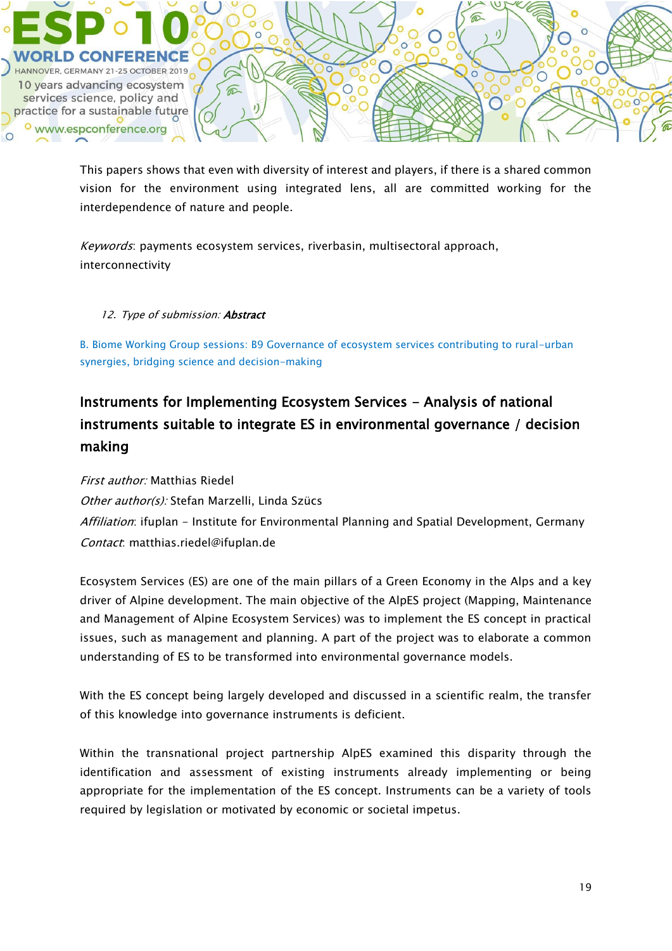![](_page_18_Picture_0.jpeg)

This papers shows that even with diversity of interest and players, if there is a shared common vision for the environment using integrated lens, all are committed working for the interdependence of nature and people.

Keywords: payments ecosystem services, riverbasin, multisectoral approach, interconnectivity

### 12. Type of submission: Abstract

B. Biome Working Group sessions: B9 Governance of ecosystem services contributing to rural-urban synergies, bridging science and decision-making

# Instruments for Implementing Ecosystem Services - Analysis of national instruments suitable to integrate ES in environmental governance / decision making

First author: Matthias Riedel Other author(s): Stefan Marzelli, Linda Szücs Affiliation: ifuplan - Institute for Environmental Planning and Spatial Development, Germany Contact: matthias.riedel@ifuplan.de

Ecosystem Services (ES) are one of the main pillars of a Green Economy in the Alps and a key driver of Alpine development. The main objective of the AlpES project (Mapping, Maintenance and Management of Alpine Ecosystem Services) was to implement the ES concept in practical issues, such as management and planning. A part of the project was to elaborate a common understanding of ES to be transformed into environmental governance models.

With the ES concept being largely developed and discussed in a scientific realm, the transfer of this knowledge into governance instruments is deficient.

Within the transnational project partnership AlpES examined this disparity through the identification and assessment of existing instruments already implementing or being appropriate for the implementation of the ES concept. Instruments can be a variety of tools required by legislation or motivated by economic or societal impetus.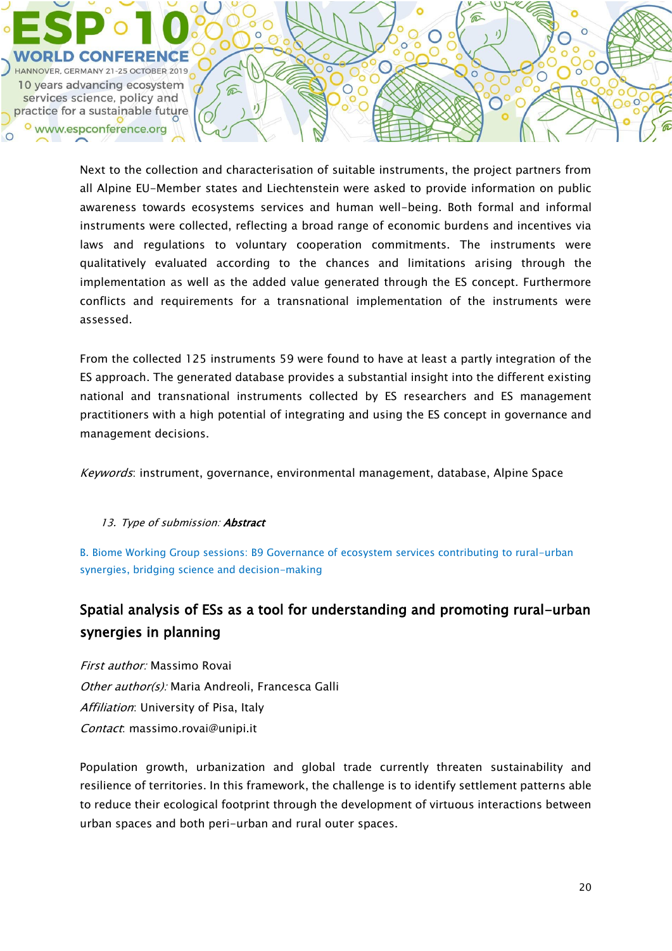HANNOVER, GERMANY 21-25 OCTOBER 2019 10 years advancing ecosystem services science, policy and practice for a sustainable future www.espconference.org

 $\widehat{\mathbb{C}}$ 

Next to the collection and characterisation of suitable instruments, the project partners from all Alpine EU-Member states and Liechtenstein were asked to provide information on public awareness towards ecosystems services and human well-being. Both formal and informal instruments were collected, reflecting a broad range of economic burdens and incentives via laws and regulations to voluntary cooperation commitments. The instruments were qualitatively evaluated according to the chances and limitations arising through the implementation as well as the added value generated through the ES concept. Furthermore conflicts and requirements for a transnational implementation of the instruments were assessed.

From the collected 125 instruments 59 were found to have at least a partly integration of the ES approach. The generated database provides a substantial insight into the different existing national and transnational instruments collected by ES researchers and ES management practitioners with a high potential of integrating and using the ES concept in governance and management decisions.

Keywords: instrument, governance, environmental management, database, Alpine Space

13. Type of submission: **Abstract** 

B. Biome Working Group sessions: B9 Governance of ecosystem services contributing to rural-urban synergies, bridging science and decision-making

# Spatial analysis of ESs as a tool for understanding and promoting rural-urban synergies in planning

First author: Massimo Rovai Other author(s): Maria Andreoli, Francesca Galli Affiliation: University of Pisa, Italy Contact: massimo.rovai@unipi.it

Population growth, urbanization and global trade currently threaten sustainability and resilience of territories. In this framework, the challenge is to identify settlement patterns able to reduce their ecological footprint through the development of virtuous interactions between urban spaces and both peri-urban and rural outer spaces.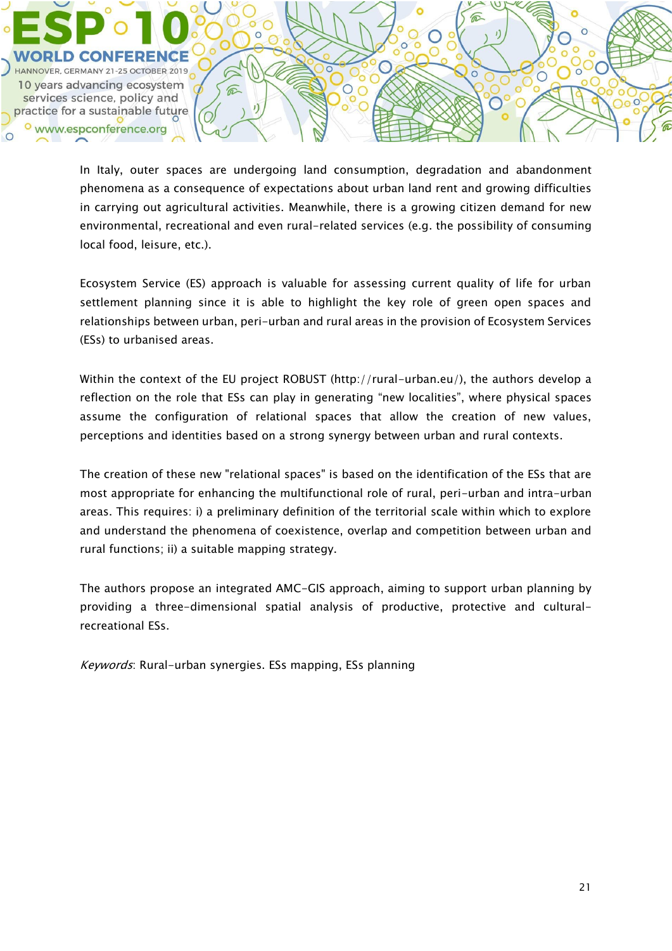HANNOVER, GERMANY 21-25 OCTOBER 2019 10 years advancing ecosystem services science, policy and practice for a sustainable future www.espconference.org

> In Italy, outer spaces are undergoing land consumption, degradation and abandonment phenomena as a consequence of expectations about urban land rent and growing difficulties in carrying out agricultural activities. Meanwhile, there is a growing citizen demand for new environmental, recreational and even rural-related services (e.g. the possibility of consuming local food, leisure, etc.).

 $\bigcirc$ 

 $\widehat{\mathbb{C}}$ 

 $\epsilon$ 

Ecosystem Service (ES) approach is valuable for assessing current quality of life for urban settlement planning since it is able to highlight the key role of green open spaces and relationships between urban, peri-urban and rural areas in the provision of Ecosystem Services (ESs) to urbanised areas.

Within the context of the EU project ROBUST (http://rural-urban.eu/), the authors develop a reflection on the role that ESs can play in generating "new localities", where physical spaces assume the configuration of relational spaces that allow the creation of new values, perceptions and identities based on a strong synergy between urban and rural contexts.

The creation of these new "relational spaces" is based on the identification of the ESs that are most appropriate for enhancing the multifunctional role of rural, peri-urban and intra-urban areas. This requires: i) a preliminary definition of the territorial scale within which to explore and understand the phenomena of coexistence, overlap and competition between urban and rural functions; ii) a suitable mapping strategy.

The authors propose an integrated AMC-GIS approach, aiming to support urban planning by providing a three-dimensional spatial analysis of productive, protective and culturalrecreational ESs.

Keywords: Rural-urban synergies. ESs mapping, ESs planning

ŏ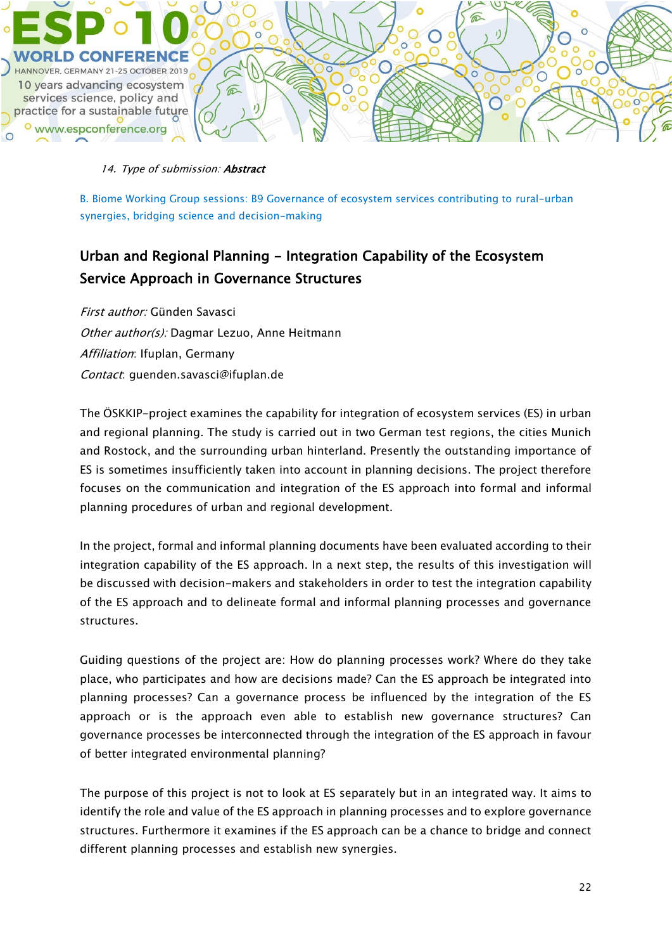![](_page_21_Picture_0.jpeg)

#### 14. Type of submission: Abstract

B. Biome Working Group sessions: B9 Governance of ecosystem services contributing to rural-urban synergies, bridging science and decision-making

# Urban and Regional Planning - Integration Capability of the Ecosystem Service Approach in Governance Structures

First author: Günden Savasci Other author(s): Dagmar Lezuo, Anne Heitmann Affiliation: Ifuplan, Germany Contact: guenden.savasci@ifuplan.de

The ÖSKKIP-project examines the capability for integration of ecosystem services (ES) in urban and regional planning. The study is carried out in two German test regions, the cities Munich and Rostock, and the surrounding urban hinterland. Presently the outstanding importance of ES is sometimes insufficiently taken into account in planning decisions. The project therefore focuses on the communication and integration of the ES approach into formal and informal planning procedures of urban and regional development.

In the project, formal and informal planning documents have been evaluated according to their integration capability of the ES approach. In a next step, the results of this investigation will be discussed with decision-makers and stakeholders in order to test the integration capability of the ES approach and to delineate formal and informal planning processes and governance structures.

Guiding questions of the project are: How do planning processes work? Where do they take place, who participates and how are decisions made? Can the ES approach be integrated into planning processes? Can a governance process be influenced by the integration of the ES approach or is the approach even able to establish new governance structures? Can governance processes be interconnected through the integration of the ES approach in favour of better integrated environmental planning?

The purpose of this project is not to look at ES separately but in an integrated way. It aims to identify the role and value of the ES approach in planning processes and to explore governance structures. Furthermore it examines if the ES approach can be a chance to bridge and connect different planning processes and establish new synergies.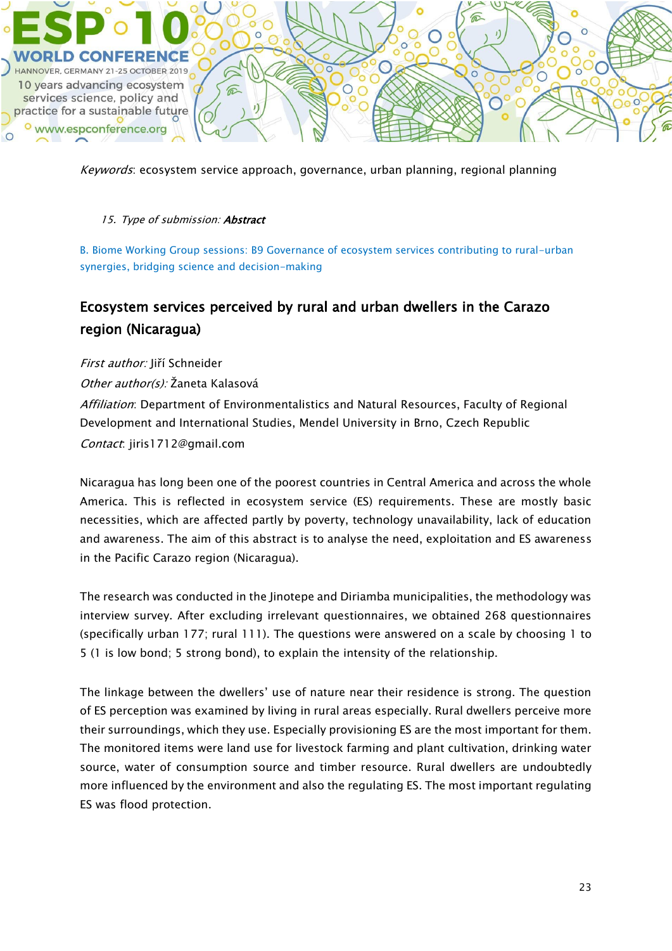![](_page_22_Picture_0.jpeg)

Keywords: ecosystem service approach, governance, urban planning, regional planning

### 15. Type of submission: Abstract

B. Biome Working Group sessions: B9 Governance of ecosystem services contributing to rural-urban synergies, bridging science and decision-making

# Ecosystem services perceived by rural and urban dwellers in the Carazo region (Nicaragua)

First author: Jiří Schneider

Other author(s): Žaneta Kalasová

Affiliation: Department of Environmentalistics and Natural Resources, Faculty of Regional Development and International Studies, Mendel University in Brno, Czech Republic Contact: jiris1712@gmail.com

Nicaragua has long been one of the poorest countries in Central America and across the whole America. This is reflected in ecosystem service (ES) requirements. These are mostly basic necessities, which are affected partly by poverty, technology unavailability, lack of education and awareness. The aim of this abstract is to analyse the need, exploitation and ES awareness in the Pacific Carazo region (Nicaragua).

The research was conducted in the Jinotepe and Diriamba municipalities, the methodology was interview survey. After excluding irrelevant questionnaires, we obtained 268 questionnaires (specifically urban 177; rural 111). The questions were answered on a scale by choosing 1 to 5 (1 is low bond; 5 strong bond), to explain the intensity of the relationship.

The linkage between the dwellers' use of nature near their residence is strong. The question of ES perception was examined by living in rural areas especially. Rural dwellers perceive more their surroundings, which they use. Especially provisioning ES are the most important for them. The monitored items were land use for livestock farming and plant cultivation, drinking water source, water of consumption source and timber resource. Rural dwellers are undoubtedly more influenced by the environment and also the regulating ES. The most important regulating ES was flood protection.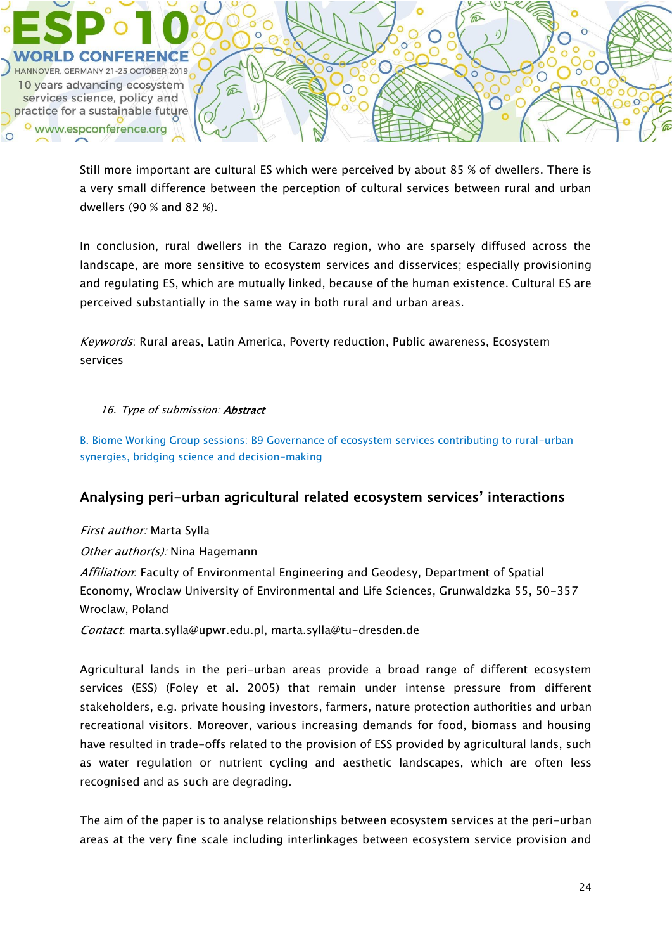![](_page_23_Picture_0.jpeg)

Still more important are cultural ES which were perceived by about 85 % of dwellers. There is a very small difference between the perception of cultural services between rural and urban dwellers (90 % and 82 %).

In conclusion, rural dwellers in the Carazo region, who are sparsely diffused across the landscape, are more sensitive to ecosystem services and disservices; especially provisioning and regulating ES, which are mutually linked, because of the human existence. Cultural ES are perceived substantially in the same way in both rural and urban areas.

Keywords: Rural areas, Latin America, Poverty reduction, Public awareness, Ecosystem services

### 16. Type of submission: Abstract

B. Biome Working Group sessions: B9 Governance of ecosystem services contributing to rural-urban synergies, bridging science and decision-making

## Analysing peri-urban agricultural related ecosystem services' interactions

First author: Marta Sylla

Other author(s): Nina Hagemann

Affiliation: Faculty of Environmental Engineering and Geodesy, Department of Spatial Economy, Wroclaw University of Environmental and Life Sciences, Grunwaldzka 55, 50-357 Wroclaw, Poland

Contact: marta.sylla@upwr.edu.pl, marta.sylla@tu-dresden.de

Agricultural lands in the peri-urban areas provide a broad range of different ecosystem services (ESS) (Foley et al. 2005) that remain under intense pressure from different stakeholders, e.g. private housing investors, farmers, nature protection authorities and urban recreational visitors. Moreover, various increasing demands for food, biomass and housing have resulted in trade-offs related to the provision of ESS provided by agricultural lands, such as water regulation or nutrient cycling and aesthetic landscapes, which are often less recognised and as such are degrading.

The aim of the paper is to analyse relationships between ecosystem services at the peri-urban areas at the very fine scale including interlinkages between ecosystem service provision and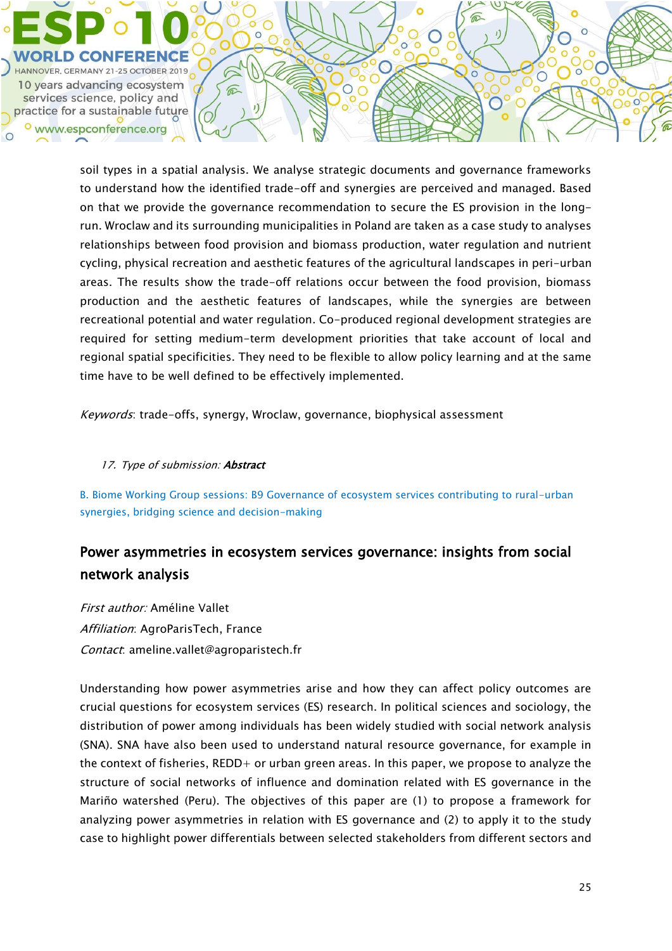![](_page_24_Picture_0.jpeg)

soil types in a spatial analysis. We analyse strategic documents and governance frameworks to understand how the identified trade-off and synergies are perceived and managed. Based on that we provide the governance recommendation to secure the ES provision in the longrun. Wroclaw and its surrounding municipalities in Poland are taken as a case study to analyses relationships between food provision and biomass production, water regulation and nutrient cycling, physical recreation and aesthetic features of the agricultural landscapes in peri-urban areas. The results show the trade-off relations occur between the food provision, biomass production and the aesthetic features of landscapes, while the synergies are between recreational potential and water regulation. Co-produced regional development strategies are required for setting medium-term development priorities that take account of local and regional spatial specificities. They need to be flexible to allow policy learning and at the same time have to be well defined to be effectively implemented.

Keywords: trade-offs, synergy, Wroclaw, governance, biophysical assessment

#### 17. Type of submission: Abstract

B. Biome Working Group sessions: B9 Governance of ecosystem services contributing to rural-urban synergies, bridging science and decision-making

# Power asymmetries in ecosystem services governance: insights from social network analysis

First author: Améline Vallet Affiliation: AgroParisTech, France Contact: ameline.vallet@agroparistech.fr

Understanding how power asymmetries arise and how they can affect policy outcomes are crucial questions for ecosystem services (ES) research. In political sciences and sociology, the distribution of power among individuals has been widely studied with social network analysis (SNA). SNA have also been used to understand natural resource governance, for example in the context of fisheries, REDD+ or urban green areas. In this paper, we propose to analyze the structure of social networks of influence and domination related with ES governance in the Mariño watershed (Peru). The objectives of this paper are (1) to propose a framework for analyzing power asymmetries in relation with ES governance and (2) to apply it to the study case to highlight power differentials between selected stakeholders from different sectors and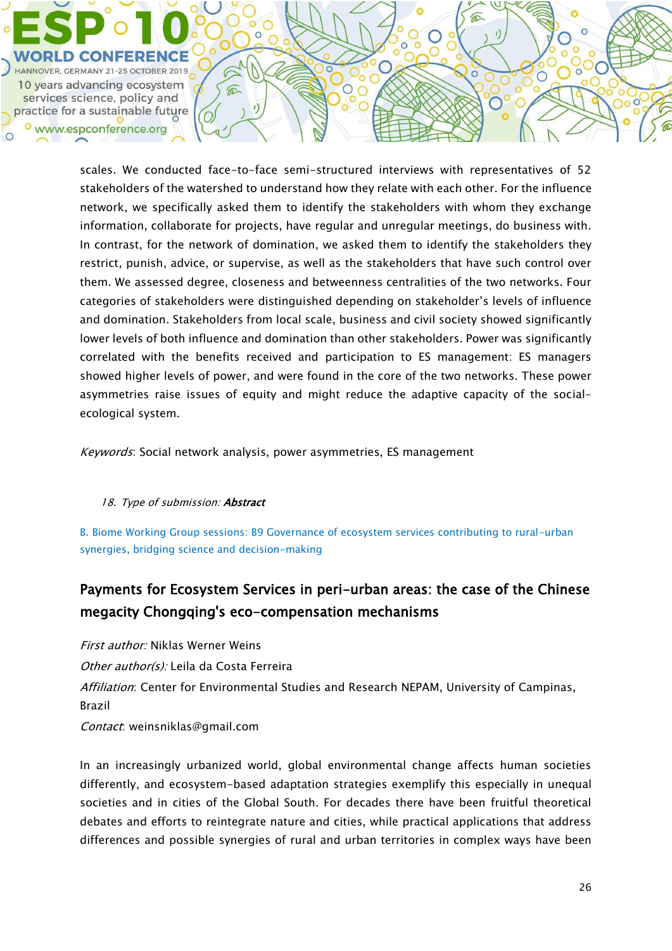![](_page_25_Picture_0.jpeg)

scales. We conducted face-to-face semi-structured interviews with representatives of 52 stakeholders of the watershed to understand how they relate with each other. For the influence network, we specifically asked them to identify the stakeholders with whom they exchange information, collaborate for projects, have regular and unregular meetings, do business with. In contrast, for the network of domination, we asked them to identify the stakeholders they restrict, punish, advice, or supervise, as well as the stakeholders that have such control over them. We assessed degree, closeness and betweenness centralities of the two networks. Four categories of stakeholders were distinguished depending on stakeholder's levels of influence and domination. Stakeholders from local scale, business and civil society showed significantly lower levels of both influence and domination than other stakeholders. Power was significantly correlated with the benefits received and participation to ES management: ES managers showed higher levels of power, and were found in the core of the two networks. These power asymmetries raise issues of equity and might reduce the adaptive capacity of the socialecological system.

Keywords: Social network analysis, power asymmetries, ES management

### 18. Type of submission: Abstract

B. Biome Working Group sessions: B9 Governance of ecosystem services contributing to rural-urban synergies, bridging science and decision-making

# Payments for Ecosystem Services in peri-urban areas: the case of the Chinese megacity Chongqing's eco-compensation mechanisms

First author: Niklas Werner Weins Other author(s): Leila da Costa Ferreira Affiliation: Center for Environmental Studies and Research NEPAM, University of Campinas, Brazil Contact: weinsniklas@gmail.com

In an increasingly urbanized world, global environmental change affects human societies differently, and ecosystem-based adaptation strategies exemplify this especially in unequal societies and in cities of the Global South. For decades there have been fruitful theoretical debates and efforts to reintegrate nature and cities, while practical applications that address differences and possible synergies of rural and urban territories in complex ways have been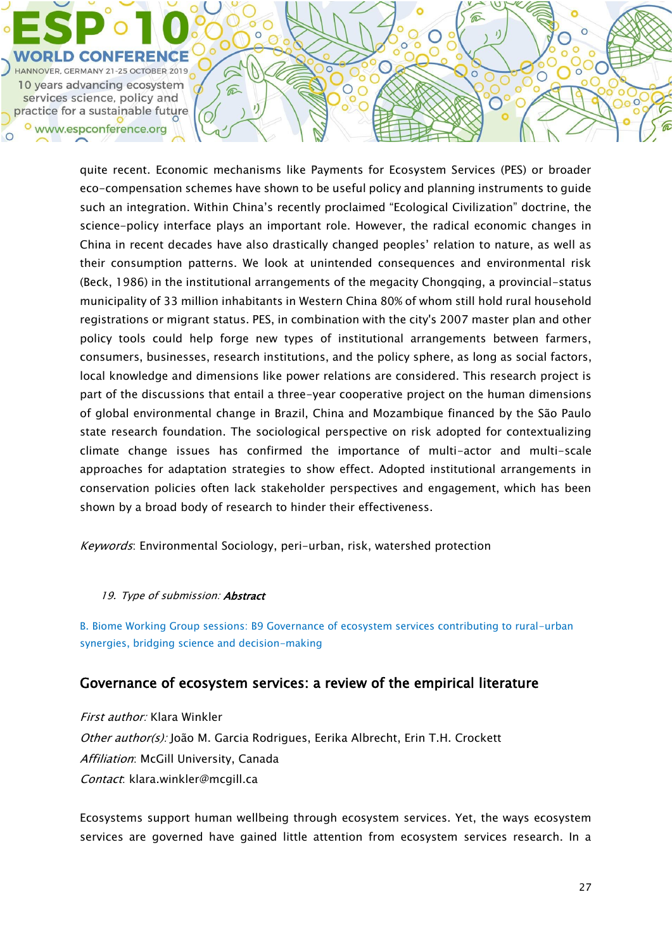![](_page_26_Picture_0.jpeg)

quite recent. Economic mechanisms like Payments for Ecosystem Services (PES) or broader eco-compensation schemes have shown to be useful policy and planning instruments to guide such an integration. Within China's recently proclaimed "Ecological Civilization" doctrine, the science-policy interface plays an important role. However, the radical economic changes in China in recent decades have also drastically changed peoples' relation to nature, as well as their consumption patterns. We look at unintended consequences and environmental risk (Beck, 1986) in the institutional arrangements of the megacity Chongqing, a provincial-status municipality of 33 million inhabitants in Western China 80% of whom still hold rural household registrations or migrant status. PES, in combination with the city's 2007 master plan and other policy tools could help forge new types of institutional arrangements between farmers, consumers, businesses, research institutions, and the policy sphere, as long as social factors, local knowledge and dimensions like power relations are considered. This research project is part of the discussions that entail a three-year cooperative project on the human dimensions of global environmental change in Brazil, China and Mozambique financed by the São Paulo state research foundation. The sociological perspective on risk adopted for contextualizing climate change issues has confirmed the importance of multi-actor and multi-scale approaches for adaptation strategies to show effect. Adopted institutional arrangements in conservation policies often lack stakeholder perspectives and engagement, which has been shown by a broad body of research to hinder their effectiveness.

 $\epsilon$ 

 $\circ$ 

 $\widehat{\mathbb{C}}$ 

⋒

ŏ

 $\overline{O}$ 

Keywords: Environmental Sociology, peri-urban, risk, watershed protection

#### 19. Type of submission: **Abstract**

B. Biome Working Group sessions: B9 Governance of ecosystem services contributing to rural-urban synergies, bridging science and decision-making

## Governance of ecosystem services: a review of the empirical literature

First author: Klara Winkler Other author(s): João M. Garcia Rodrigues, Eerika Albrecht, Erin T.H. Crockett Affiliation: McGill University, Canada Contact: klara.winkler@mcgill.ca

Ecosystems support human wellbeing through ecosystem services. Yet, the ways ecosystem services are governed have gained little attention from ecosystem services research. In a